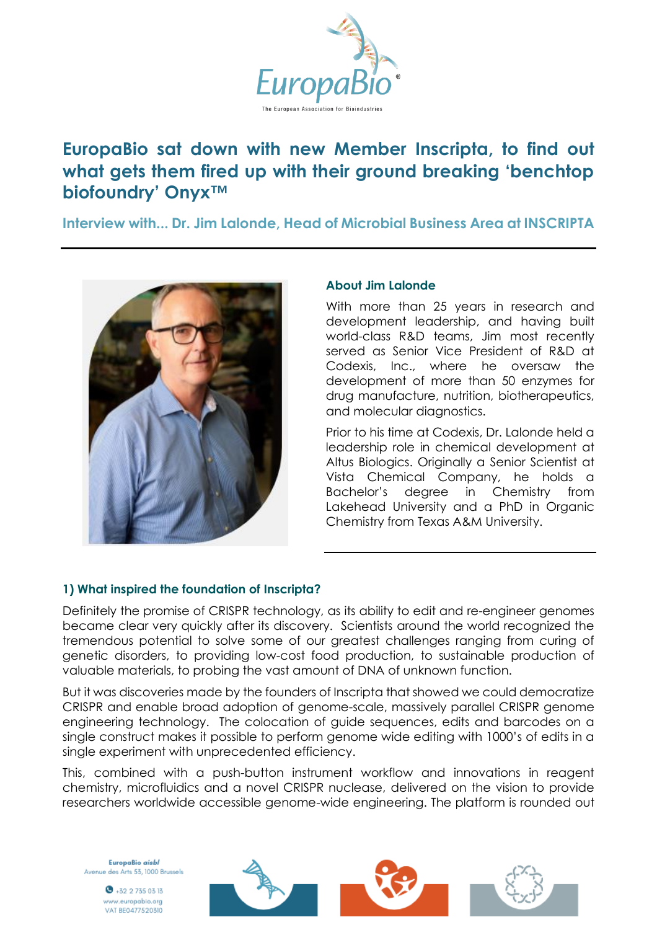

# **EuropaBio sat down with new Member Inscripta, to find out what gets them fired up with their ground breaking 'benchtop biofoundry' Onyx™**

**Interview with... Dr. Jim Lalonde, Head of Microbial Business Area at INSCRIPTA**



#### **About Jim Lalonde**

With more than 25 years in research and development leadership, and having built world-class R&D teams, Jim most recently served as Senior Vice President of R&D at Codexis, Inc., where he oversaw the development of more than 50 enzymes for drug manufacture, nutrition, biotherapeutics, and molecular diagnostics.

Prior to his time at Codexis, Dr. Lalonde held a leadership role in chemical development at Altus Biologics. Originally a Senior Scientist at Vista Chemical Company, he holds a Bachelor's degree in Chemistry from Lakehead University and a PhD in Organic Chemistry from Texas A&M University.

# **1) What inspired the foundation of Inscripta?**

Definitely the promise of CRISPR technology, as its ability to edit and re-engineer genomes became clear very quickly after its discovery. Scientists around the world recognized the tremendous potential to solve some of our greatest challenges ranging from curing of genetic disorders, to providing low-cost food production, to sustainable production of valuable materials, to probing the vast amount of DNA of unknown function.

But it was discoveries made by the founders of Inscripta that showed we could democratize CRISPR and enable broad adoption of genome-scale, massively parallel CRISPR genome engineering technology. The colocation of guide sequences, edits and barcodes on a single construct makes it possible to perform genome wide editing with 1000's of edits in a single experiment with unprecedented efficiency.

This, combined with a push-button instrument workflow and innovations in reagent chemistry, microfluidics and a novel CRISPR nuclease, delivered on the vision to provide researchers worldwide accessible genome-wide engineering. The platform is rounded out

EuropaBio aisbl Avenue des Arts 53, 1000 Brussels

> $\bullet$  +32 2 735 03 13 www.europabio.org VAT BE0477520310